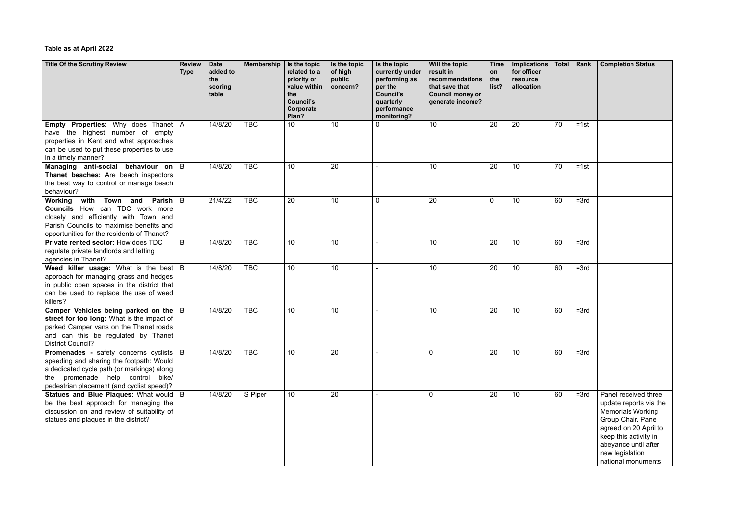## **Table as at April 2022**

| <b>Title Of the Scrutiny Review</b>                                                                                                                                                                                         | <b>Review</b><br><b>Type</b> | <b>Date</b><br>added to<br>the<br>scoring<br>table | <b>Membership</b> | Is the topic<br>related to a<br>priority or<br>value within<br>the<br><b>Council's</b><br>Corporate<br>Plan? | Is the topic<br>of high<br>public<br>concern? | Is the topic<br>currently under<br>performing as<br>per the<br><b>Council's</b><br>quarterly<br>performance<br>monitoring? | Will the topic<br>result in<br>recommendations<br>that save that<br><b>Council money or</b><br>generate income? | <b>Time</b><br>on<br>the<br>list? | <b>Implications</b><br>for officer<br>resource<br>allocation | Total | Rank   | <b>Completion Status</b>                                                                                                                                                                                            |
|-----------------------------------------------------------------------------------------------------------------------------------------------------------------------------------------------------------------------------|------------------------------|----------------------------------------------------|-------------------|--------------------------------------------------------------------------------------------------------------|-----------------------------------------------|----------------------------------------------------------------------------------------------------------------------------|-----------------------------------------------------------------------------------------------------------------|-----------------------------------|--------------------------------------------------------------|-------|--------|---------------------------------------------------------------------------------------------------------------------------------------------------------------------------------------------------------------------|
| <b>Empty Properties:</b> Why does Thanet   A<br>have the highest number of empty<br>properties in Kent and what approaches<br>can be used to put these properties to use<br>in a timely manner?                             |                              | 14/8/20                                            | <b>TBC</b>        | 10                                                                                                           | 10 <sup>°</sup>                               |                                                                                                                            | 10                                                                                                              | 20                                | 20                                                           | 70    | $=1st$ |                                                                                                                                                                                                                     |
| Managing anti-social behaviour on B<br>Thanet beaches: Are beach inspectors<br>the best way to control or manage beach<br>behaviour?                                                                                        |                              | 14/8/20                                            | <b>TBC</b>        | 10                                                                                                           | 20                                            |                                                                                                                            | 10                                                                                                              | 20                                | 10                                                           | 70    | $=1st$ |                                                                                                                                                                                                                     |
| Town and Parish $\vert$ B<br>Working<br>with<br><b>Councils</b> How can TDC work more<br>closely and efficiently with Town and<br>Parish Councils to maximise benefits and<br>opportunities for the residents of Thanet?    |                              | 21/4/22                                            | <b>TBC</b>        | 20                                                                                                           | 10                                            | 0                                                                                                                          | 20                                                                                                              | $\Omega$                          | 10                                                           | 60    | $=3rd$ |                                                                                                                                                                                                                     |
| <b>Private rented sector: How does TDC</b><br>regulate private landlords and letting<br>agencies in Thanet?                                                                                                                 | B                            | 14/8/20                                            | <b>TBC</b>        | 10                                                                                                           | 10 <sup>°</sup>                               |                                                                                                                            | 10                                                                                                              | 20                                | 10                                                           | 60    | $=3rd$ |                                                                                                                                                                                                                     |
| <b>Weed killer usage:</b> What is the best $ B $<br>approach for managing grass and hedges<br>in public open spaces in the district that<br>can be used to replace the use of weed<br>killers?                              |                              | 14/8/20                                            | <b>TBC</b>        | 10                                                                                                           | 10                                            |                                                                                                                            | 10                                                                                                              | 20                                | 10 <sup>1</sup>                                              | 60    | $=3rd$ |                                                                                                                                                                                                                     |
| Camper Vehicles being parked on the $ B $<br>street for too long: What is the impact of<br>parked Camper vans on the Thanet roads<br>and can this be regulated by Thanet<br><b>District Council?</b>                        |                              | 14/8/20                                            | <b>TBC</b>        | 10                                                                                                           | 10                                            |                                                                                                                            | 10                                                                                                              | 20                                | 10                                                           | 60    | $=3rd$ |                                                                                                                                                                                                                     |
| <b>Promenades</b> - safety concerns cyclists   B<br>speeding and sharing the footpath: Would<br>a dedicated cycle path (or markings) along<br>the promenade help control bike/<br>pedestrian placement (and cyclist speed)? |                              | 14/8/20                                            | <b>TBC</b>        | 10                                                                                                           | 20                                            |                                                                                                                            | $\mathbf 0$                                                                                                     | 20                                | 10 <sup>1</sup>                                              | 60    | $=3rd$ |                                                                                                                                                                                                                     |
| Statues and Blue Plaques: What would   B<br>be the best approach for managing the<br>discussion on and review of suitability of<br>statues and plaques in the district?                                                     |                              | 14/8/20                                            | S Piper           | 10                                                                                                           | 20                                            |                                                                                                                            | $\overline{0}$                                                                                                  | 20                                | 10 <sup>1</sup>                                              | 60    | $=3rd$ | Panel received three<br>update reports via the<br><b>Memorials Working</b><br>Group Chair. Panel<br>agreed on 20 April to<br>keep this activity in<br>abeyance until after<br>new legislation<br>national monuments |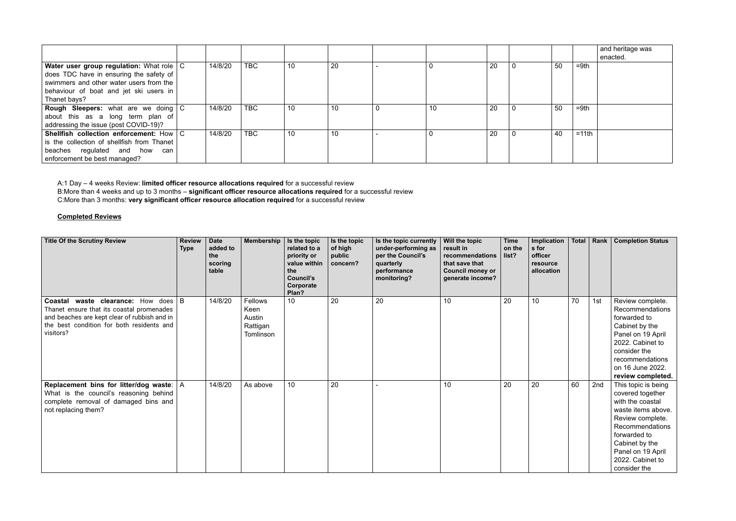|                                                                                                                                                                                                |         |            |    |    |    |    |    |         | and heritage was<br>enacted. |
|------------------------------------------------------------------------------------------------------------------------------------------------------------------------------------------------|---------|------------|----|----|----|----|----|---------|------------------------------|
| Water user group regulation: What role   C<br>does TDC have in ensuring the safety of $ $<br>swimmers and other water users from the<br>behaviour of boat and jet ski users in<br>Thanet bays? | 14/8/20 | <b>TBC</b> | 10 | 20 |    | 20 | 50 | $=9th$  |                              |
| <b>Rough Sleepers:</b> what are we doing C<br>about this as a long term plan of<br>addressing the issue (post COVID-19)?                                                                       | 14/8/20 | <b>TBC</b> | 10 | 10 | 10 | 20 | 50 | $=9th$  |                              |
| Shellfish collection enforcement: How $\mid$ C<br>is the collection of shellfish from Thanet<br>beaches regulated and how can<br>enforcement be best managed?                                  | 14/8/20 | <b>TBC</b> | 10 | 10 |    | 20 | 40 | $=11th$ |                              |

A:1 Day – 4 weeks Review: **limited officer resource allocations required** for a successful review B:More than 4 weeks and up to 3 months – **significant officer resource allocations required** for a successful review C:More than 3 months: **very significant officer resource allocation required** for a successful review

## **Completed Reviews**

| <b>Title Of the Scrutiny Review</b>                                                                                                                                                             | <b>Review</b><br><b>Type</b> | <b>Date</b><br>added to<br>the<br>scoring<br>table | Membership                                         | Is the topic<br>related to a<br>priority or<br>value within<br>the<br><b>Council's</b><br>Corporate<br>Plan? | Is the topic<br>of high<br>public<br>concern? | Is the topic currently<br>under-performing as<br>per the Council's<br>quarterly<br>performance<br>monitoring? | Will the topic<br>result in<br>recommendations<br>that save that<br><b>Council money or</b><br>generate income? | <b>Time</b><br>on the<br>list? | Implication<br>s for<br>officer<br>resource<br>allocation | <b>Total</b> |     | Rank   Completion Status                                                                                                                                                                                            |
|-------------------------------------------------------------------------------------------------------------------------------------------------------------------------------------------------|------------------------------|----------------------------------------------------|----------------------------------------------------|--------------------------------------------------------------------------------------------------------------|-----------------------------------------------|---------------------------------------------------------------------------------------------------------------|-----------------------------------------------------------------------------------------------------------------|--------------------------------|-----------------------------------------------------------|--------------|-----|---------------------------------------------------------------------------------------------------------------------------------------------------------------------------------------------------------------------|
| waste clearance: How does   B<br>Coastal<br>Thanet ensure that its coastal promenades<br>and beaches are kept clear of rubbish and in<br>the best condition for both residents and<br>visitors? |                              | 14/8/20                                            | Fellows<br>Keen<br>Austin<br>Rattigan<br>Tomlinson | 10                                                                                                           | 20                                            | 20                                                                                                            | 10                                                                                                              | 20                             | 10                                                        | 70           | 1st | Review complete.<br>Recommendations<br>forwarded to<br>Cabinet by the<br>Panel on 19 April<br>2022. Cabinet to<br>consider the<br>recommendations<br>on 16 June 2022.<br>review completed.                          |
| Replacement bins for litter/dog waste:   A<br>What is the council's reasoning behind<br>complete removal of damaged bins and<br>not replacing them?                                             |                              | 14/8/20                                            | As above                                           | 10                                                                                                           | 20                                            |                                                                                                               | 10                                                                                                              | 20                             | 20                                                        | 60           | 2nd | This topic is being<br>covered together<br>with the coastal<br>waste items above.<br>Review complete.<br>Recommendations<br>forwarded to<br>Cabinet by the<br>Panel on 19 April<br>2022. Cabinet to<br>consider the |